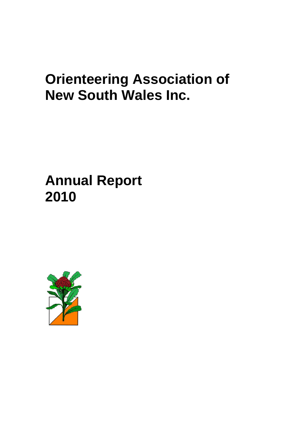# **Orienteering Association of New South Wales Inc.**

**Annual Report 2010**

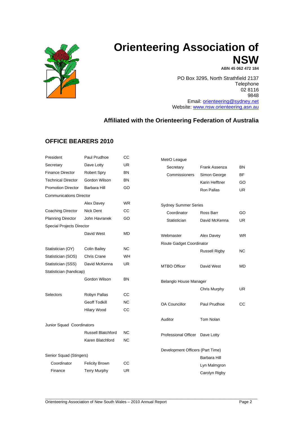

## **Orienteering Association of NSW**

**ABN 45 062 472 184**

PO Box 3295, North Strathfield 2137 Telephone 02 8116 9848 Email: [orienteering@sydney.net](mailto:orienteering@dsr.nsw.gov.au) Website: [www.nsw.orienteering.asn.au](http://www.nsw.orienteering.asn.au/)

## **Affiliated with the Orienteering Federation of Australia**

## **OFFICE BEARERS 2010**

| President                        | Paul Prudhoe              | CС        | MetrO League          |
|----------------------------------|---------------------------|-----------|-----------------------|
| Secretary                        | Dave Lotty                | UR        | Secretary             |
| <b>Finance Director</b>          | <b>Robert Spry</b>        | ΒN        | Commission            |
| <b>Technical Director</b>        | Gordon Wilson             | BN        |                       |
| <b>Promotion Director</b>        | Barbara Hill              | GO        |                       |
| <b>Communications Director</b>   |                           |           |                       |
|                                  | Alex Davey                | <b>WR</b> | Sydney Summe          |
| Coaching Director                | <b>Nick Dent</b>          | СC        | Coordinator           |
| <b>Planning Director</b>         | John Havranek             | GO        | Statistician          |
| <b>Special Projects Director</b> |                           |           |                       |
|                                  | David West                | MD        | Webmaster             |
|                                  |                           |           | Route Gadget C        |
| Statistician (OY)                | <b>Colin Bailey</b>       | <b>NC</b> |                       |
| Statistician (SOS)               | <b>Chris Crane</b>        | WH        |                       |
| Statistician (SSS)               | David McKenna             | <b>UR</b> | <b>MTBO Officer</b>   |
| Statistician (handicap)          |                           |           |                       |
|                                  | Gordon Wilson             | <b>BN</b> | <b>Belanglo House</b> |
|                                  |                           |           |                       |
| Selectors                        | Robyn Pallas              | CС        |                       |
|                                  | <b>Geoff Todkill</b>      | ΝC        | <b>OA Councillor</b>  |
|                                  | <b>Hilary Wood</b>        | СC        |                       |
|                                  |                           |           | Auditor               |
| Junior Squad Coordinators        |                           |           |                       |
|                                  | <b>Russell Blatchford</b> | NC.       | Professional Of       |
|                                  | Karen Blatchford          | NC        |                       |
|                                  |                           |           | Development O         |
| Senior Squad (Stingers)          |                           |           |                       |
| Coordinator                      | <b>Felicity Brown</b>     | CС        |                       |
| Finance                          | <b>Terry Murphy</b>       | UR        |                       |
|                                  |                           |           |                       |

| MetrO League                     |                      |           |
|----------------------------------|----------------------|-----------|
| Secretary                        | Frank Assenza        | BN        |
| Commissioners                    | Simon George         | ВF        |
|                                  | Karin Hefftner       | GO        |
|                                  | Ron Pallas           | UR        |
| <b>Sydney Summer Series</b>      |                      |           |
| Coordinator                      | Ross Barr            | GO        |
| Statistician                     | David McKenna        | UR        |
| Webmaster                        | Alex Davey           | <b>WR</b> |
| Route Gadget Coordinator         |                      |           |
|                                  | <b>Russell Rigby</b> | NС        |
| <b>MTBO Officer</b>              | David West           | MD        |
| Belanglo House Manager           |                      |           |
|                                  | Chris Murphy         | UR        |
| <b>OA Councillor</b>             | Paul Prudhoe         | CС        |
| Auditor                          | Tom Nolan            |           |
| Professional Officer Dave Lotty  |                      |           |
| Development Officers (Part Time) |                      |           |
|                                  | Barbara Hill         |           |
|                                  | Lyn Malmgron         |           |
|                                  | Carolyn Rigby        |           |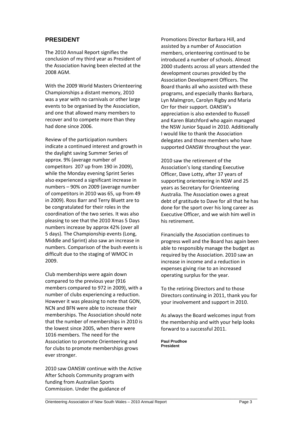## **PRESIDENT**

The 2010 Annual Report signifies the conclusion of my third year as President of the Association having been elected at the 2008 AGM.

With the 2009 World Masters Orienteering Championships a distant memory, 2010 was a year with no carnivals or other large events to be organised by the Association, and one that allowed many members to recover and to compete more than they had done since 2006.

Review of the participation numbers indicate a continued interest and growth in the daylight saving Summer Series of approx. 9% (average number of competitors 207 up from 190 in 2009), while the Monday evening Sprint Series also experienced a significant increase in numbers – 90% on 2009 (average number of competitors in 2010 was 65, up from 49 in 2009). Ross Barr and Terry Bluett are to be congratulated for their roles in the coordination of the two series. It was also pleasing to see that the 2010 Xmas 5 Days numbers increase by approx 42% (over all 5 days). The Championship events (Long, Middle and Sprint) also saw an increase in numbers. Comparison of the bush events is difficult due to the staging of WMOC in 2009.

Club memberships were again down compared to the previous year (916 members compared to 972 in 2009), with a number of clubs experiencing a reduction. However it was pleasing to note that GON, NCN and BFN were able to increase their memberships. The Association should note that the number of memberships in 2010 is the lowest since 2005, when there were 1016 members. The need for the Association to promote Orienteering and for clubs to promote memberships grows ever stronger.

2010 saw OANSW continue with the Active After Schools Community program with funding from Australian Sports Commission. Under the guidance of

Promotions Director Barbara Hill, and assisted by a number of Association members, orienteering continued to be introduced a number of schools. Almost 2000 students across all years attended the development courses provided by the Association Development Officers. The Board thanks all who assisted with these programs, and especially thanks Barbara, Lyn Malmgron, Carolyn Rigby and Maria Orr for their support. OANSW's appreciation is also extended to Russell and Karen Blatchford who again managed the NSW Junior Squad in 2010. Additionally I would like to thank the Association delegates and those members who have supported OANSW throughout the year.

2010 saw the retirement of the Association's long standing Executive Officer, Dave Lotty, after 37 years of supporting orienteering in NSW and 25 years as Secretary for Orienteering Australia. The Association owes a great debt of gratitude to Dave for all that he has done for the sport over his long career as Executive Officer, and we wish him well in his retirement.

Financially the Association continues to progress well and the Board has again been able to responsibly manage the budget as required by the Association. 2010 saw an increase in income and a reduction in expenses giving rise to an increased operating surplus for the year.

To the retiring Directors and to those Directors continuing in 2011, thank you for your involvement and support in 2010.

As always the Board welcomes input from the membership and with your help looks forward to a successful 2011.

**Paul Prudhoe President**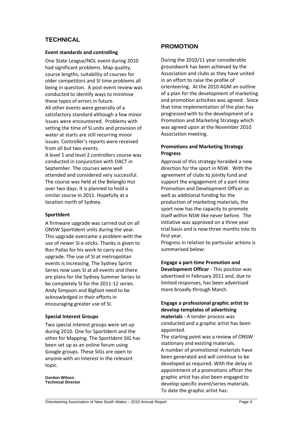## **TECHNICAL**

## **Event standards and controlling**

One State League/NOL event during 2010 had significant problems. Map quality, course lengths, suitability of courses for older competitors and SI time problems all being in question. A post event review was conducted to identify ways to minimise these types of errors in future. All other events were generally of a satisfactory standard although a few minor issues were encountered. Problems with setting the time of SI units and provision of water at starts are still recurring minor issues. Controller's reports were received from all but two events. A level 1 and level 2 controllers course was conducted in conjunction with OACT in September. The courses were well

attended and considered very successful. The course was held at the Belanglo Hut over two days. It is planned to hold a similar course in 2011. Hopefully at a location north of Sydney.

## **SportIdent**

A firmware upgrade was carried out on all ONSW SportIdent units during the year. This upgrade overcame a problem with the use of newer SI e-sticks. Thanks is given to Ron Pallas for his work to carry out this upgrade. The use of SI at metropolitan events is increasing. The Sydney Sprint Series now uses SI at all events and there are plans for the Sydney Summer Series to be completely SI for the 2011-12 series. Andy Simpson and Bigfoot need to be acknowledged in their efforts in encouraging greater use of SI.

## **Special Interest Groups**

Two special interest groups were set up during 2010. One for SportIdent and the other for Mapping. The SportIdent SIG has been set up as an online forum using Google groups. These SIGs are open to anyone with an interest in the relevant topic.

**Gordon Wilson Technical Director**

## **PROMOTION**

During the 2010/11 year considerable groundwork has been achieved by the Association and clubs as they have united in an effort to raise the profile of orienteering. At the 2010 AGM an outline of a plan for the development of marketing and promotion activities was agreed. Since that time implementation of the plan has progressed with to the development of a Promotion and Marketing Strategy which was agreed upon at the November 2010 Association meeting.

## **Promotions and Marketing Strategy Progress**

Approval of this strategy heralded a new direction for the sport in NSW. With the agreement of clubs to jointly fund and support the engagement of a part-time Promotion and Development Officer as well as additional funding for the production of marketing materials, the sport now has the capacity to promote itself within NSW like never before. The initiative was approved on a three year trial basis and is now three months into its first year.

Progress in relation to particular actions is summarised below:

**Engage a part-time Promotion and Development Officer** - This position was advertised in February 2011 and, due to limited responses, has been advertised more broadly through March.

## **Engage a professional graphic artist to develop templates of advertising materials** - A tender process was

conducted and a graphic artist has been appointed.

The starting point was a review of ONSW stationary and existing materials. A number of promotional materials have been generated and will continue to be developed as required. With the delay in appointment of a promotions officer the graphic artist has also been engaged to develop specific event/series materials. To date the graphic artist has: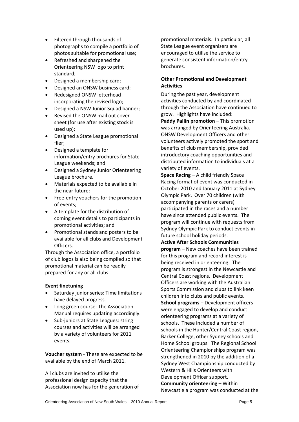- Filtered through thousands of photographs to compile a portfolio of photos suitable for promotional use;
- Refreshed and sharpened the Orienteering NSW logo to print standard;
- Designed a membership card;
- Designed an ONSW business card;
- Redesigned ONSW letterhead incorporating the revised logo;
- Designed a NSW Junior Squad banner;
- Revised the ONSW mail out cover sheet (for use after existing stock is used up);
- Designed a State League promotional flier;
- Designed a template for information/entry brochures for State League weekends; and
- Designed a Sydney Junior Orienteering League brochure.
- Materials expected to be available in the near future:
- Free-entry vouchers for the promotion of events;
- A template for the distribution of coming event details to participants in promotional activities; and
- Promotional stands and posters to be available for all clubs and Development Officers.

Through the Association office, a portfolio of club logos is also being compiled so that promotional material can be readily prepared for any or all clubs.

## **Event finetuning**

- Saturday junior series: Time limitations have delayed progress.
- Long green course: The Association Manual requires updating accordingly.
- Sub-juniors at State Leagues: string courses and activities will be arranged by a variety of volunteers for 2011 events.

**Voucher system** - These are expected to be available by the end of March 2011.

All clubs are invited to utilise the professional design capacity that the Association now has for the generation of promotional materials. In particular, all State League event organisers are encouraged to utilise the service to generate consistent information/entry brochures.

## **Other Promotional and Development Activities**

During the past year, development activities conducted by and coordinated through the Association have continued to grow. Highlights have included:

**Paddy Pallin promotion** – This promotion was arranged by Orienteering Australia. ONSW Development Officers and other volunteers actively promoted the sport and benefits of club membership, provided introductory coaching opportunities and distributed information to individuals at a variety of events.

**Space Racing** – A child friendly Space Racing format of event was conducted in October 2010 and January 2011 at Sydney Olympic Park. Over 70 children (with accompanying parents or carers) participated in the races and a number have since attended public events. The program will continue with requests from Sydney Olympic Park to conduct events in future school holiday periods.

**Active After Schools Communities program** – New coaches have been trained for this program and record interest is being received in orienteering. The program is strongest in the Newcastle and Central Coast regions. Development Officers are working with the Australian Sports Commission and clubs to link keen children into clubs and public events.

**School programs** – Development officers were engaged to develop and conduct orienteering programs at a variety of schools. These included a number of schools in the Hunter/Central Coast region, Barker College, other Sydney schools and Home School groups. The Regional School Orienteering Championships program was strengthened in 2010 by the addition of a Sydney West Championship conducted by Western & Hills Orienteers with Development Officer support. **Community orienteering** – Within Newcastle a program was conducted at the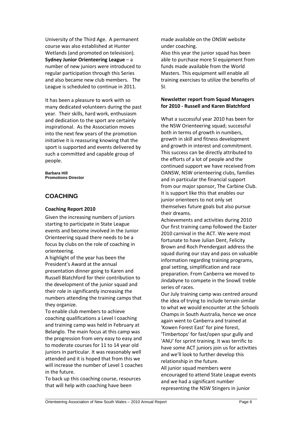University of the Third Age. A permanent course was also established at Hunter Wetlands (and promoted on television). **Sydney Junior Orienteering League** – a number of new juniors were introduced to regular participation through this Series and also became new club members. The League is scheduled to continue in 2011.

It has been a pleasure to work with so many dedicated volunteers during the past year. Their skills, hard work, enthusiasm and dedication to the sport are certainly inspirational. As the Association moves into the next few years of the promotion initiative it is reassuring knowing that the sport is supported and events delivered by such a committed and capable group of people.

**Barbara Hill Promotions Director**

## **COACHING**

## **Coaching Report 2010**

Given the increasing numbers of juniors starting to participate in State League events and become involved in the Junior Orienteering squad there needs to be a focus by clubs on the role of coaching in orienteering.

A highlight of the year has been the President's Award at the annual presentation dinner going to Karen and Russell Blatchford for their contribution to the development of the junior squad and their role in significantly increasing the numbers attending the training camps that they organize.

To enable club members to achieve coaching qualifications a Level I coaching and training camp was held in February at Belanglo. The main focus at this camp was the progression from very easy to easy and to moderate courses for 11 to 14 year old juniors in particular. It was reasonably well attended and it is hoped that from this we will increase the number of Level 1 coaches in the future.

To back up this coaching course, resources that will help with coaching have been

made available on the ONSW website under coaching.

Also this year the junior squad has been able to purchase more SI equipment from funds made available from the World Masters. This equipment will enable all training exercises to utilize the benefits of SI.

## **Newsletter report from Squad Managers for 2010 - Russell and Karen Blatchford**

What a successful year 2010 has been for the NSW Orienteering squad; successful both in terms of growth in numbers, growth in skill and fitness development and growth in interest and commitment. This success can be directly attributed to the efforts of a lot of people and the continued support we have received from OANSW, NSW orienteering clubs, families and in particular the financial support from our major sponsor, The Carbine Club. It is support like this that enables our junior orienteers to not only set themselves future goals but also pursue their dreams.

Achievements and activities during 2010 Our first training camp followed the Easter 2010 carnival in the ACT. We were most fortunate to have Julian Dent, Felicity Brown and Roch Prendergast address the squad during our stay and pass on valuable information regarding training programs, goal setting, simplification and race preparation. From Canberra we moved to Jindabyne to compete in the SnowE treble series of races.

Our July training camp was centred around the idea of trying to include terrain similar to what we would encounter at the Schools Champs in South Australia, hence we once again went to Canberra and trained at 'Kowen Forest East' for pine forest, 'Timbertops' for fast/open spur gully and 'ANU' for sprint training. It was terrific to have some ACT juniors join us for activities and we'll look to further develop this relationship in the future.

All junior squad members were encouraged to attend State League events and we had a significant number representing the NSW Stingers in junior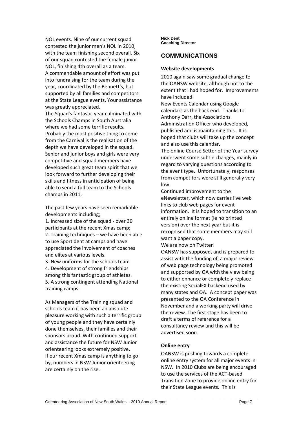NOL events. Nine of our current squad contested the junior men's NOL in 2010, with the team finishing second overall. Six of our squad contested the female junior NOL, finishing 4th overall as a team. A commendable amount of effort was put into fundraising for the team during the year, coordinated by the Bennett's, but supported by all families and competitors at the State League events. Your assistance was greatly appreciated.

The Squad's fantastic year culminated with the Schools Champs in South Australia where we had some terrific results. Probably the most positive thing to come from the Carnival is the realisation of the depth we have developed in the squad. Senior and junior boys and girls were very competitive and squad members have developed such great team spirit that we look forward to further developing their skills and fitness in anticipation of being able to send a full team to the Schools champs in 2011.

The past few years have seen remarkable developments including;

1. Increased size of the squad - over 30 participants at the recent Xmas camp; 2. Training techniques – we have been able to use Sportident at camps and have appreciated the involvement of coaches and elites at various levels.

3. New uniforms for the schools team 4. Development of strong friendships among this fantastic group of athletes. 5. A strong contingent attending National training camps.

As Managers of the Training squad and schools team it has been an absolute pleasure working with such a terrific group of young people and they have certainly done themselves, their families and their sponsors proud. With continued support and assistance the future for NSW Junior orienteering looks extremely positive. If our recent Xmas camp is anything to go by, numbers in NSW Junior orienteering are certainly on the rise.

**Nick Dent Coaching Director**

## **COMMUNICATIONS**

## **Website developments**

2010 again saw some gradual change to the OANSW website, although not to the extent that I had hoped for. Improvements have included:

New Events Calendar using Google calendars as the back end. Thanks to Anthony Darr, the Associations Administration Officer who developed, published and is maintaining this. It is hoped that clubs will take up the concept and also use this calendar.

The online Course Setter of the Year survey underwent some subtle changes, mainly in regard to varying questions according to the event type. Unfortunately, responses from competitors were still generally very low.

Continued improvement to the eNewsletter, which now carries live web links to club web pages for event information. It is hoped to transition to an entirely online format (ie no printed version) over the next year but it is recognised that some members may still want a paper copy.

We are now on Twitter!

OANSW has supposed, and is prepared to assist with the funding of, a major review of web page technology being promoted and supported by OA with the view being to either enhance or completely replace the existing SocialFX backend used by many states and OA. A concept paper was presented to the OA Conference in November and a working party will drive the review. The first stage has been to draft a terms of reference for a consultancy review and this will be advertised soon.

## **Online entry**

OANSW is pushing towards a complete online entry system for all major events in NSW. In 2010 Clubs are being encouraged to use the services of the ACT-based Transition Zone to provide online entry for their State League events. This is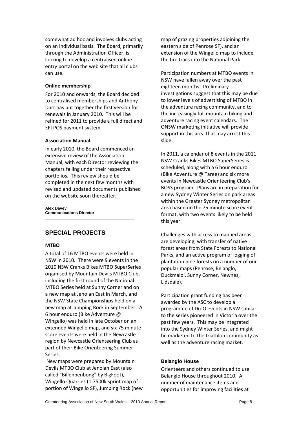somewhat ad hoc and involves clubs acting on an individual basis. The Board, primarily through the Administration Officer, is looking to develop a centralised online entry portal on the web site that all clubs can use.

## **Online membership**

For 2010 and onwards, the Board decided to centralised memberships and Anthony Darr has put together the first version for renewals in January 2010. This will be refined for 2011 to provide a full direct and EFTPOS payment system.

## **Association Manual**

In early 2010, the Board commenced an extensive review of the Association Manual, with each Director reviewing the chapters falling under their respective portfolios. This review should be completed in the next few months with revised and updated documents published on the website soon thereafter.

**\_\_\_\_\_\_\_\_\_\_\_\_\_\_\_\_\_\_\_\_\_\_\_\_\_\_\_\_\_\_\_\_\_\_\_\_\_\_\_\_**

**Alex Davey Communications Director**

## **SPECIAL PROJECTS**

## **MTBO**

A total of 16 MTBO events were held in NSW in 2010. There were 9 events in the 2010 NSW Cranks Bikes MTBO SuperSeries organised by Mountain Devils MTBO Club, including the first round of the National MTBO Series held at Sunny Corner and on a new map at Jenolan East in March, and the NSW State Championships held on a new map at Jumping Rock in September. A 6 hour enduro (Bike Adventure @ Wingello) was held in late October on an extended Wingello map, and six 75 minute score events were held in the Newcastle region by Newcastle Orienteering Club as part of their Bike Orienteering Summer Series.

New maps were prepared by Mountain Devils MTBO Club at Jenolan East (also called "Billenbenbong" by BigFoot), Wingello Quarries (1:7500k sprint map of portion of Wingello SF), Jumping Rock (new map of grazing properties adjoining the eastern side of Penrose SF), and an extension of the Wingello map to include the fire trails into the National Park.

Participation numbers at MTBO events in NSW have fallen away over the past eighteen months. Preliminary investigations suggest that this may be due to lower levels of advertising of MTBO in the adventure racing community, and to the increasingly full mountain biking and adventure racing event calendars. The ONSW marketing initiative will provide support in this area that may arrest this slide.

In 2011, a calendar of 8 events in the 2011 NSW Cranks Bikes MTBO SuperSeries is scheduled, along with a 6 hour enduro (Bike Adventure @ Taree) and six more events in Newcastle Orienteering Club's BOSS program. Plans are in preparation for a new Sydney Winter Series on park areas within the Greater Sydney metropolitan area based on the 75 minute score event format, with two events likely to be held this year.

Challenges with access to mapped areas are developing, with transfer of native forest areas from State Forests to National Parks, and an active program of logging of plantation pine forests on a number of our popular maps (Penrose, Belanglo, Duckmaloi, Sunny Corner, Newnes, Lidsdale).

Participation grant funding has been awarded by the ASC to develop a programme of Du-O events in NSW similar to the series pioneered in Victoria over the past few years. This may be integrated into the Sydney Winter Series, and might be marketed to the triathlon community as well as the adventure racing market.

## **Belanglo House**

Orienteers and others continued to use Belanglo House throughout 2010. A number of maintenance items and opportunities for improving facilities at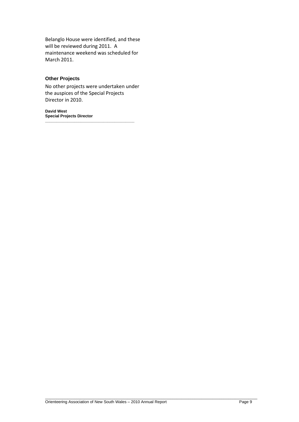Belanglo House were identified, and these will be reviewed during 2011. A maintenance weekend was scheduled for March 2011.

## **Other Projects**

No other projects were undertaken under the auspices of the Special Projects Director in 2010.

**David West Special Projects Director \_\_\_\_\_\_\_\_\_\_\_\_\_\_\_\_\_\_\_\_\_\_\_\_\_\_\_\_\_\_\_\_\_\_\_\_\_\_\_\_**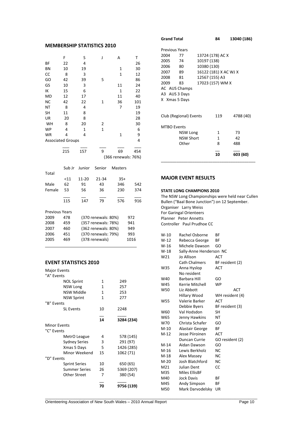## **MEMBERSHIP STATISTICS 2010**

|                          | F      | S      | J                   | A                   | T    |
|--------------------------|--------|--------|---------------------|---------------------|------|
| ΒF                       | 22     | 4      |                     |                     | 26   |
| BN                       | 10     | 19     |                     | $\mathbf{1}$        | 30   |
| CC                       | 8      | 3      |                     | $\mathbf{1}$        | 12   |
| GO                       | 42     | 39     | 5                   |                     | 86   |
| GS                       | 10     | 3      |                     | 11                  | 24   |
| IK                       | 15     | 6      |                     | $\mathbf{1}$        | 22   |
| MD                       | 12     | 17     |                     | 11                  | 40   |
| <b>NC</b>                | 42     | 22     | $\mathbf{1}$        | 36                  | 101  |
| NT                       | 8      | 4      |                     | 7                   | 19   |
| <b>SH</b>                | 11     | 8      |                     |                     | 19   |
| UR                       | 20     | 8      |                     |                     | 28   |
| WH                       | 8      | 20     | 2                   |                     | 30   |
| <b>WP</b>                | 4      | 1      | $\mathbf{1}$        |                     | 6    |
| WR                       | 4      | 4      |                     | $\mathbf{1}$        | 9    |
| <b>Associated Groups</b> |        |        |                     |                     | 4    |
|                          | 215    | 157    |                     |                     |      |
|                          |        |        | 9                   | 69                  | 454  |
|                          |        |        |                     | (366 renewals: 76%) |      |
|                          | Sub Jr | Junior | Senior              | <b>Masters</b>      |      |
| Total                    |        |        |                     |                     |      |
|                          | < 11   | 11-20  | 21-34               | $35+$               |      |
| Male                     | 62     | 91     | 43                  | 346                 | 542  |
| Female                   | 53     | 56     | 36                  | 230                 | 374  |
|                          | 115    | 147    | 79                  | 576                 | 916  |
| <b>Previous Years</b>    |        |        |                     |                     |      |
| 2009                     | 478    |        | (370 renewals: 80%) |                     | 972  |
| 2008                     | 459    |        | (357 renewals: 78%) |                     | 941  |
| 2007                     | 460    |        | (362 renewals: 80%) |                     | 949  |
| 2006                     | 451    |        | (370 renewals: 79%) |                     | 993  |
| 2005                     | 469    |        | (378 renewals)      |                     | 1016 |
|                          |        |        |                     |                     |      |

## **EVENT STATISTICS 2010**

| Major Events |                      |     |            |  |  |
|--------------|----------------------|-----|------------|--|--|
| "A" Events   |                      |     |            |  |  |
|              | <b>NOL Sprint</b>    | 1   | 249        |  |  |
|              | <b>NSW Long</b>      | 1   | 257        |  |  |
|              | <b>NSW Middle</b>    | 1   | 253        |  |  |
|              | <b>NSW Sprint</b>    | 1   | 277        |  |  |
| "B" Events   |                      |     |            |  |  |
|              | <b>SL Events</b>     | 10  | 2248       |  |  |
|              |                      | 14  | 3284 (234) |  |  |
|              | <b>Minor Events</b>  |     |            |  |  |
| "C" Events   |                      |     |            |  |  |
|              | MetrO League         | 4   | 578 (145)  |  |  |
|              | <b>Sydney Series</b> | 3   | 291 (97)   |  |  |
|              | Xmas 5 Days          | 5.  | 1426 (285) |  |  |
|              | Minor Weekend        | 15  | 1062 (71)  |  |  |
| "D" Events   |                      |     |            |  |  |
|              | <b>Sprint Series</b> | 10  | 650 (65)   |  |  |
|              | <b>Summer Series</b> | 26. | 5369 (207) |  |  |
|              | Other Street         | 7   | 380 (54)   |  |  |
|              |                      | 70  | 9756 (139) |  |  |

| <b>Grand Total</b>    |                        |                | 84                    | 13040 (186) |
|-----------------------|------------------------|----------------|-----------------------|-------------|
| <b>Previous Years</b> |                        |                |                       |             |
| 2004                  | 77                     |                | 13724 (178) AC X      |             |
| 2005                  | 74                     | 10197 (138)    |                       |             |
| 2006                  | 80                     | 10380 (130)    |                       |             |
| 2007                  | 89                     |                | 16122 (181) X AC WJ X |             |
| 2008                  | 81                     | 12567 (155) A3 |                       |             |
| 2009                  | 83                     |                | 17023 (157) WM X      |             |
|                       | AC AUS Champs          |                |                       |             |
|                       | A3 AUS 3 Days          |                |                       |             |
|                       | X Xmas 5 Days          |                |                       |             |
|                       |                        |                |                       |             |
|                       | Club (Regional) Events |                | 119                   | 4788 (40)   |
|                       |                        |                |                       |             |
| <b>MTBO Events</b>    |                        |                |                       |             |
|                       | NSW Long               |                | 1                     | 73          |
|                       | NSW Short              |                | 1                     | 42          |
|                       | Other                  |                | 8                     | 488         |
|                       |                        |                | 10                    |             |
|                       |                        |                |                       | 603 (60)    |

\_\_\_\_\_\_\_\_\_\_\_\_\_\_\_\_\_\_\_\_\_\_\_\_\_\_\_\_\_\_\_\_\_\_\_\_\_\_\_\_\_\_

### **MAJOR EVENT RESULTS**

|                                                  | <b>STATE LONG CHAMPIONS 2010</b> |                 |  |
|--------------------------------------------------|----------------------------------|-----------------|--|
| The NSW Long Championships were held near Cullen |                                  |                 |  |
| Bullen ("Baal Bone Junction") on 12 September.   |                                  |                 |  |
|                                                  | Organiser Larry Weiss            |                 |  |
|                                                  | For Garingal Orienteers          |                 |  |
|                                                  | <b>Planner</b> Peter Annetts     |                 |  |
|                                                  | Controller Paul Prudhoe CC       |                 |  |
|                                                  |                                  |                 |  |
| W-10                                             | Rachel Osborne                   | ΒF              |  |
| $W-12$                                           | Rebecca George                   | ВF              |  |
| W-16                                             | Michele Dawson                   | GO              |  |
| $W-18$                                           | Sally-Anne Henderson NC          |                 |  |
| W21                                              | Jo Allison                       | ACT             |  |
|                                                  | <b>Cath Chalmers</b>             | BF resident (2) |  |
| W35                                              | Anna Hyslop                      | ACT             |  |
|                                                  | No resident                      |                 |  |
| W40                                              | Barbara Hill                     | GO              |  |
| W45                                              | Kerrie Mitchell                  | <b>WP</b>       |  |
| W50                                              | Liz Abbott                       | ACT             |  |
|                                                  | Hillary Wood                     | WH resident (4) |  |
| W55                                              | Valerie Barker                   | <b>ACT</b>      |  |
|                                                  | Debbie Byers                     | BF resident (3) |  |
| W60                                              | Val Hodsdon                      | SН              |  |
| W65                                              | Jenny Hawkins                    | NΤ              |  |
| W70                                              | Christa Schafer                  | GO              |  |
| $M-10$                                           | Alastair George                  | ΒF              |  |
| M-12                                             | Jesse Piiroinen                  | <b>ACT</b>      |  |
|                                                  | Duncan Currie                    | GO resident (2) |  |
| $M-14$                                           | Aidan Dawson                     | GO              |  |
| $M-16$                                           | Lewis Berkholz                   | ΝC              |  |
| $M-18$                                           | Alex Massey                      | <b>NC</b>       |  |
| $M-20$                                           | Josh Blatchford                  | <b>NC</b>       |  |
| M21                                              | Julian Dent                      | CC              |  |
| M35                                              | <b>Miles EllisBF</b>             |                 |  |
| M40                                              | <b>Jock Davis</b>                | ΒF              |  |
| M45                                              | Andy Simpson                     | ВF              |  |
| M50                                              | Mark Darvodelsky                 | UR              |  |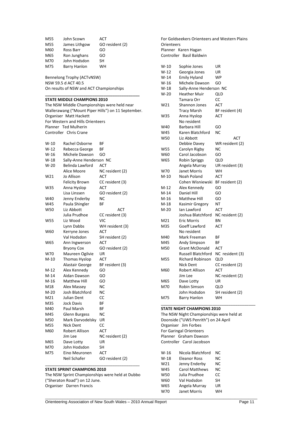| John Scown    | ACT             |
|---------------|-----------------|
| James Lithgow | GO resident (2) |
| Ross Barr     | GO              |
| Ron Junghans  | GO              |
| John Hodsdon  | SН              |
| Barry Hanlon  | WH              |
|               |                 |

Bennelong Trophy (ACTvNSW) NSW 59.5 d ACT 40.5 On results of NSW and ACT Championships

#### **STATE MIDDLE CHAMPIONS 2010**

The NSW Middle Championships were held near Wallerawang ("Mount Piper Hills") on 11 September. Organiser Matt Hackett For Western and Hills Orienteers Planner Ted Mulherin Controller Chris Crane

**\_\_\_\_\_\_\_\_\_\_\_\_\_\_\_\_\_\_\_\_\_\_\_\_\_\_\_\_\_\_\_\_\_\_\_\_\_\_\_\_\_\_**

#### **STATE SPRINT CHAMPIONS 2010**

The NSW Sprint Championships were held at Dubbo ("Sheraton Road") on 12 June. Organiser Darren Francis

For Goldseekers Orienteers and Western Plains **Orienteers** Planner Karen Hagan Controller Basil Baldwin W-10 Sophie Jones UR W-12 Georgia Jones UR W-14 Emily Hyland WP W-16 Michele Dawson GO W-18 Sally-Anne Henderson NC W-20 Heather Muir QLD Tamara Orr CC W21 Shannon Jones ACT Tracy Marsh BF resident (4) W35 Anna Hyslop ACT No resident W40 Barbara Hill GO W45 Karen Blatchford NC W50 Liz Abbott ACT Debbie Davey WR resident (2) W55 Carolyn Rigby NC W60 Carol Jacobson GO W65 Robin Spriggs QLD Angela Murray UR resident (3) W70 Janet Morris WH M-10 Noah Poland ACT Cohen Wisniewski BF resident (2) M-12 Alex Kennedy GO M-14 Daniel Hill GO M-16 Matthew Hill GO M-18 Kasimir Gregory NT M-20 Ian Lawford ACT Joshua Blatchford NC resident (2) M21 Eric Morris BN M35 Goeff Lawford ACT No resident M40 Mark Freeman BF M45 Andy Simpson BF M50 Grant McDonald ACT Russell Blatchford NC resident (3) M55 Richard Robinson QLD Nick Dent CC resident (2) M60 Robert Allison ACT Jim Lee NC resident (2) M65 Dave Lotty UR M70 Robin Simson QLD John Hodsdon SH resident (2) M75 Barry Hanlon WH

#### **STATE NIGHT CHAMPIONS 2010**

The NSW Night Championships were held at Doonside ("UWS Penrith") on 24 April Organiser Jim Forbes For Garingal Orienteers Planner Graham Dawson Controller Carol Jacobson

\_\_\_\_\_\_\_\_\_\_\_\_\_\_\_\_\_\_\_\_\_\_\_\_\_\_\_\_\_\_\_\_\_\_\_\_\_\_\_\_\_\_

| $W-16$ | Nicola Blatchford     | ΝC |
|--------|-----------------------|----|
| $W-18$ | <b>Eleanor Ross</b>   | NC |
| W21    | Jenny Enderby         | NC |
| W45    | <b>Carol Matthews</b> | NC |
| W50    | Julia Prudhoe         | CC |
| W60    | Val Hodsdon           | SH |
| W65    | Angela Murray         | UR |
| W70    | Janet Morris          | WH |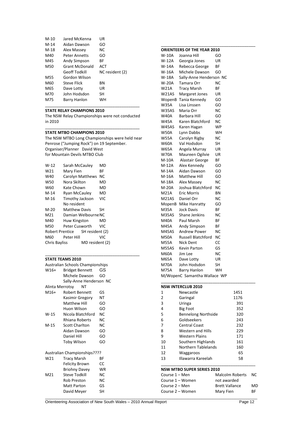| $M-10$ | Jared McKenna        | UR              |
|--------|----------------------|-----------------|
| M-14   | Aidan Dawson         | GO              |
| M-18   | Alex Massey          | NС              |
| M40    | Peter Annetts        | GO              |
| M45    | Andy Simpson         | ВF              |
| M50    | Grant McDonald       | <b>ACT</b>      |
|        |                      |                 |
|        | <b>Geoff Todkill</b> | NC resident (2) |
| M55    | Gordon Wilson        |                 |
| M60    | Steve Flick          | ΒN              |
| M65    | Dave Lotty           | UR              |
| M70    | John Hodsdon         | SН              |

#### **STATE RELAY CHAMPIONS 2010**

The NSW Relay Championships were not conducted in 2010 \_\_\_\_\_\_\_\_\_\_\_\_\_\_\_\_\_\_\_\_\_\_\_\_\_\_\_\_\_\_\_\_\_\_\_\_\_\_\_\_\_\_

\_\_\_\_\_\_\_\_\_\_\_\_\_\_\_\_\_\_\_\_\_\_\_\_\_\_\_\_\_\_\_\_\_\_\_\_\_\_\_\_\_\_

#### **STATE MTBO CHAMPIONS 2010**

The NSW MTBO Long Championships were held near Penrose ("Jumping Rock") on 19 September. Organiser/Planner David West for Mountain Devils MTBO Club

\_\_\_\_\_\_\_\_\_\_\_\_\_\_\_\_\_\_\_\_\_\_\_\_\_\_\_\_\_\_\_\_\_\_\_\_\_\_\_\_\_\_

| W-12            | Sarah McCauley   |                                 | MD  |
|-----------------|------------------|---------------------------------|-----|
| W <sub>21</sub> | Mary Fien        |                                 | ВF  |
| W40             | Carolyn Matthews |                                 | NC  |
| W50             | Nora Skilton     |                                 | MD  |
| W60             | Kate Chown       |                                 | MD  |
| M-14            | Ryan McCauley    |                                 | MD  |
| M-16            | Timothy Jackson  |                                 | VIC |
|                 | No resident      |                                 |     |
| M-20            | Matthew Davis    |                                 | SH  |
| M21             |                  | Damian Welbourne NC             |     |
| M40             | Huw Kingston     |                                 | MD  |
| M50             | Peter Cusworth   |                                 | VIC |
|                 |                  | Robert Prentice SH resident (2) |     |
| M60             | Peter Hill       |                                 | VIC |
| Chris Bayliss   |                  | MD resident (2)                 |     |
|                 |                  |                                 |     |

#### **STATE TEAMS 2010**

| Australian Schools Championships |                                     |           |  |
|----------------------------------|-------------------------------------|-----------|--|
| $W16+$                           | Bridget Bennett                     | GS        |  |
|                                  | Michele Dawson                      | GO        |  |
|                                  | Sally-Anne Henderson NC             |           |  |
| Alinta Merrotsy                  | NΤ                                  |           |  |
| M16+                             | <b>Robert Bennett</b>               | GS        |  |
|                                  | Kasimir Gregory                     | NΤ        |  |
|                                  | Matthew Hill                        | GO        |  |
|                                  | Huon Wilson                         | GO        |  |
| $W-15$                           | Nicola Blatchford                   | NC.       |  |
|                                  | Rhiana Roberts                      | NC        |  |
| M-15                             | <b>Scott Charlton</b>               | NC.       |  |
|                                  | Aidan Dawson                        | GO        |  |
|                                  | Daniel Hill                         | GO        |  |
|                                  | <b>Toby Wilson</b>                  | GO        |  |
|                                  | <b>Australian Championships????</b> |           |  |
| W21                              | <b>Tracy Marsh</b>                  | ВF        |  |
|                                  | Felicity Brown                      | CC        |  |
|                                  | <b>Briohny Davey</b>                | WR        |  |
| M21                              | Steve Todkill                       | <b>NC</b> |  |
|                                  | Rob Preston                         | NC        |  |
|                                  | Matt Parton                         | GS        |  |

David Meyer SH

| <b>ORIENTEERS OF THE YEAR 2010</b> |                           |    |  |  |
|------------------------------------|---------------------------|----|--|--|
| <b>W-10A</b>                       | Joanna Hill               | GO |  |  |
| W-12A                              | Georgia Jones             | UR |  |  |
| W-14A                              | Rebecca George            | ΒF |  |  |
| W-16A                              | Michele Dawson            | GO |  |  |
| W-18A                              | Sally-Anne Henderson NC   |    |  |  |
| <b>W-20A</b>                       | Tamara Orr                | NC |  |  |
| <b>W21A</b>                        | <b>Tracy Marsh</b>        | ΒF |  |  |
| W21AS                              | <b>Margaret Jones</b>     | UR |  |  |
| WopenB                             | Tania Kennedy             | GO |  |  |
| <b>W35A</b>                        | Lisa Linssen              | GO |  |  |
| W35AS                              | Maria Orr                 | NC |  |  |
| W40A                               | Barbara Hill              | GO |  |  |
| <b>W45A</b>                        | Karen Blatchford          | ΝC |  |  |
| W45AS                              | Karen Hagan               | WP |  |  |
| <b>W50A</b>                        | Lynn Dabbs                | WH |  |  |
| <b>W55A</b>                        | Carolyn Rigby             | NC |  |  |
| <b>W60A</b>                        | Val Hodsdon               | SН |  |  |
| W65A                               | Angela Murray             | UR |  |  |
| W70A                               | Maureen Ogilvie           | UR |  |  |
| M-10A                              | Alastair George           | ΒF |  |  |
| M-12A                              | Alex Kennedy              | GO |  |  |
| M-14A                              | Aidan Dawson              | GO |  |  |
| M-16A                              | <b>Matthew Hill</b>       | GO |  |  |
| M-18A                              | Alex Massey               | ΝC |  |  |
| M-20A                              | Joshua Blatchford         | ΝC |  |  |
| M21A                               | <b>Eric Morris</b>        | ΒN |  |  |
| M21AS                              | Daniel Orr                | ΝC |  |  |
| MopenB                             | Mike Hanratty             | GO |  |  |
| M35A                               | <b>Jock Davis</b>         | BF |  |  |
| M35AS                              | <b>Shane Jenkins</b>      | ΝC |  |  |
| M40A                               | Paul Marsh                | ΒF |  |  |
| M45A                               | Andy Simpson              | ΒF |  |  |
| M45AS                              | <b>Andrew Power</b>       | ΝC |  |  |
| M50A                               | <b>Russell Blatchford</b> | NC |  |  |
| <b>M55A</b>                        | <b>Nick Dent</b>          | CC |  |  |
| M55AS                              | <b>Kevin Parton</b>       | GS |  |  |
| M60A                               | Jim Lee                   | ΝC |  |  |
| M65A                               | Dave Lotty                | UR |  |  |
| M70A                               | John Hodsdon              | SН |  |  |
| <b>M75A</b>                        | Barry Hanlon              | WH |  |  |
| M/WopenC Samantha Wallace WP       |                           |    |  |  |

#### **NSW INTERCLUB 2010** 1 Newcastle 1451<br>2 Garingal 1176 2 Garingal 1176<br>3 Uringa 391 3 Uringa 391<br>4 Big Foot 352 Big Foot

| -  | <b>DIE I UUL</b>           | ےرت |
|----|----------------------------|-----|
| 5  | <b>Bennelong Northside</b> | 320 |
| 6  | Goldseekers                | 243 |
| 7  | <b>Central Coast</b>       | 232 |
| 8  | <b>Western and Hills</b>   | 229 |
| 9  | Western Plains             | 171 |
| 10 | Southern Highlands         | 161 |
| 11 | Northern Tablelands        | 160 |
| 12 | Waggaroos                  | 65  |
| 13 | Illawarra Kareelah         | 58  |

\_\_\_\_\_\_\_\_\_\_\_\_\_\_\_\_\_\_\_\_\_\_\_\_\_\_\_\_\_\_\_\_\_\_\_\_\_\_\_\_\_\_

#### **NSW MTBO SUPER SERIES 2010**

 $\_$  , and the contribution of the contribution of  $\mathcal{L}_1$  , and the contribution of  $\mathcal{L}_2$  , and the contribution of  $\mathcal{L}_1$ 

| Course $1 -$ Men | Malcolm Roberts       | NC. |
|------------------|-----------------------|-----|
| Course 1 – Women | not awarded           |     |
| Course 2 – Men   | <b>Brett Vallance</b> | MD  |
| Course 2 – Women | Mary Fien             | RF. |

\_\_\_\_\_\_\_\_\_\_\_\_\_\_\_\_\_\_\_\_\_\_\_\_\_\_\_\_\_\_\_\_\_\_\_\_\_\_\_\_\_\_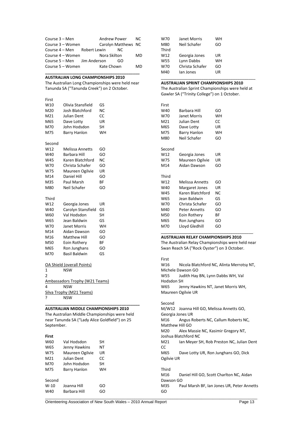| Course 3 – Men              | Andrew Power        | NC. |
|-----------------------------|---------------------|-----|
| Course 3 – Women            | Carolyn Matthews NC |     |
| Course 4 – Men Robert Lewin | NC.                 |     |
| Course 4 – Women            | Nora Skilton        | MD  |
| Course 5 – Men Jim Anderson | GO                  |     |
| Course 5 - Women            | Kate Chown          | MD  |

#### **AUSTRALIAN LONG CHAMPIONSHIPS 2010**

The Australian Long Championships were held near Tanunda SA ("Tanunda Creek") on 2 October.

**\_\_\_\_\_\_\_\_\_\_\_\_\_\_\_\_\_\_\_\_\_\_\_\_\_\_\_\_\_\_\_\_\_\_\_\_\_\_\_\_\_\_**

| First          |                                       |           |
|----------------|---------------------------------------|-----------|
| W10            | Olivia Stansfield                     | GS        |
| M20            | Josh Blatchford                       | ΝC        |
| M21            | Julian Dent                           | СC        |
| M65            | Dave Lotty                            | UR        |
| M70            | John Hodsdon                          | SΗ        |
| M75            | <b>Barry Hanlon</b>                   | <b>WH</b> |
| Second         |                                       |           |
| W12            | <b>Melissa Annetts</b>                | GO        |
| W40            | Barbara Hill                          | GO        |
| W45            | Karen Blatchford                      | NC        |
| W70            | Christa Schafer                       | GO        |
| W75            | Maureen Ogilvie                       | UR        |
| M14            | <b>Daniel Hill</b>                    | GO        |
| M35            | Paul Marsh                            | ΒF        |
| M80            | Neil Schafer                          | GO        |
| Third          |                                       |           |
| W12            | Georgia Jones                         | UR        |
| W40            | Carolyn Stansfield                    | GS        |
| W60            | Val Hodsdon                           | <b>SH</b> |
| W65            | Jean Baldwin                          | GS        |
| W70            | Janet Morris                          | WH        |
| M14            | Aidan Dawson                          | GO        |
| M16            | <b>Matthew Hill</b>                   | GO        |
| M50            | Eoin Rothery                          | ВF        |
| M65            | Ron Junghans                          | GO        |
| M70            | <b>Basil Baldwin</b>                  | GS        |
|                | <b>OA Shield (overall Points)</b>     |           |
| 1              | <b>NSW</b>                            |           |
| $\overline{2}$ |                                       |           |
|                | <u>Ambassadors Trophy (W21 Teams)</u> |           |
| 4              | <b>NSW</b>                            |           |

#### **AUSTRALIAN MIDDLE CHAMPIONSHIPS 2010**

**\_\_\_\_\_\_\_\_\_\_\_\_\_\_\_\_\_\_\_\_\_\_\_\_\_\_\_\_\_\_\_\_\_\_\_\_\_\_\_\_\_\_**

The Australian Middle Championships were held near Tanunda SA ("Lady Alice Goldfield") on 25 September.

#### **First**

| W60    | Val Hodsdon     | SH |
|--------|-----------------|----|
| W65    | Jenny Hawkins   | NΤ |
| W75    | Maureen Ogilvie | UR |
| M21    | Julian Dent     | CC |
| M70    | John Hodsdon    | SН |
| M75    | Barry Hanlon    | wн |
| Second |                 |    |
| $W-10$ | Joanna Hill     | GO |
| W40    | Barbara Hill    | GO |

Silva Trophy (M21 Teams)

? NSW

| W70   | Janet Morris    | WН |
|-------|-----------------|----|
| M80   | Neil Schafer    | GO |
| Third |                 |    |
| W12   | Georgia Jones   | UR |
| W55   | Lynn Dabbs      | WН |
| W70   | Christa Schafer | GO |
| M40   | lan Jones       | UR |

#### **AUSTRALIAN SPRINT CHAMPIONSHIPS 2010**

The Australian Sprint Championships were held at Gawler SA ("Trinity College") on 1 October.

\_\_\_\_\_\_\_\_\_\_\_\_\_\_\_\_\_\_\_\_\_\_\_\_\_\_\_\_\_\_\_\_\_\_\_\_\_\_\_\_\_\_

| First  |                        |     |
|--------|------------------------|-----|
| W40    | <b>Barbara Hill</b>    | GO  |
| W70    | Janet Morris           | WН  |
| M21    | Julian Dent            | CC  |
| M65    | Dave Lotty             | UR  |
| M75    | Barry Hanlon           | WH  |
| M80    | Neil Schafer           | GO  |
| Second |                        |     |
| W12    | Georgia Jones          | UR  |
| W75    | Maureen Ogilvie        | UR  |
| M14    | Aidan Dawson           | GO  |
| Third  |                        |     |
| W12    | <b>Melissa Annetts</b> | GO  |
| W40    | <b>Margaret Jones</b>  | UR  |
| W45    | Karen Blatchford       | NC. |
| W65    | Jean Baldwin           | GS  |
| W70    | Christa Schafer        | GO  |
| M40    | <b>Peter Annetts</b>   | GO  |
| M50    | Eoin Rothery           | ВF  |
| M65    | Ron Junghans           | GO  |
| M70    | Lloyd Gledhill         | GO  |
|        |                        |     |

#### **AUSTRALIAN RELAY CHAMPIONSHIPS 2010**

The Australian Relay Championships were held near Swan Reach SA ("Rock Oyster") on 3 October.

#### First

W16 Nicola Blatchford NC, Alinta Merrotsy NT, Michele Dawson GO W55 Judith Hay BN, Lynn Dabbs WH, Val Hodsdon SH W65 Jenny Hawkins NT, Janet Morris WH, Maureen Ogilvie UR

#### Second

 $\_$  , and the contribution of the contribution of  $\mathcal{L}_1$  , and the contribution of  $\mathcal{L}_2$  , and the contribution of  $\mathcal{L}_1$ 

GO

M/W12 Joanna Hill GO, Melissa Annetts GO, Georgia Jones UR M16 Angus Roberts NC, Callum Roberts NC, Matthew Hill GO M20 Alex Massie NC, Kasimir Gregory NT, Joshua Blatchford NC M21 Ian Meyer SH, Rob Preston NC, Julian Dent **CC** M65 Dave Lotty UR, Ron Junghans GO, Dick Ogilvie UR Third M16 Daniel Hill GO, Scott Charlton NC, Aidan Dawson GO<br>M35 Pa Paul Marsh BF, Ian Jones UR, Peter Annetts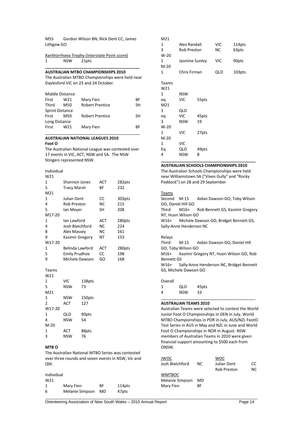M55 Gordon Wilson BN, Nick Dent CC, James Lithgow GO

| Xanthorrhoea Trophy (Interstate Point score) |  |  |
|----------------------------------------------|--|--|
|                                              |  |  |

1 NSW 21pts

#### **AUSTRALIAN MTBO CHAMPIONSHIPS 2010**

The Australian MTBO Championships were held near Daylesford VIC on 23 and 24 October.

**\_\_\_\_\_\_\_\_\_\_\_\_\_\_\_\_\_\_\_\_\_\_\_\_\_\_\_\_\_\_\_\_\_\_\_\_\_\_\_\_\_\_**

|                        | Middle Distance |                        |    |  |
|------------------------|-----------------|------------------------|----|--|
| First                  | W21             | Mary Fien              | ВF |  |
| Third                  | M50             | <b>Robert Prentice</b> | SН |  |
| <b>Sprint Distance</b> |                 |                        |    |  |
| First                  | M50             | <b>Robert Prentice</b> | SН |  |
| Long Distance          |                 |                        |    |  |
| First                  | W21             | Mary Fien              | ВF |  |

#### **AUSTRALIAN NATIONAL LEAGUES 2010 Foot O**

The Australian National League was contested over 17 events in VIC, ACT, NSW and SA. The NSW Stingers represented NSW.

\_\_\_\_\_\_\_\_\_\_\_\_\_\_\_\_\_\_\_\_\_\_\_\_\_\_\_\_\_\_\_\_\_\_\_\_\_\_\_\_\_\_

| Individual |
|------------|
| $\sim$     |

| W21    |                      |           |        |
|--------|----------------------|-----------|--------|
| 1      | Shannon Jones        | ACT       | 282pts |
| 5      | <b>Tracy Marsh</b>   | ВF        | 232    |
| M21    |                      |           |        |
| 1      | Julian Dent          | CC        | 303pts |
| 4      | Rob Preston          | NC        | 215    |
| 5      | lan Meyer            | SН        | 208    |
| M17-20 |                      |           |        |
| 1      | Ian Lawford          | ACT       | 280pts |
| 4      | Josh Blatchford      | NC.       | 224    |
| 8      | Alex Massey          | <b>NC</b> | 161    |
| 9      | Kasimir Gregory      | NΤ        | 153    |
| W17-20 |                      |           |        |
| 1      | Belinda Lawford      | ACT       | 280pts |
| 5      | <b>Emily Prudhoe</b> | CC        | 198    |
| ٩      | Michele Dawson       | GO        | 168    |

#### Teams

| W <sub>21</sub> |            |        |
|-----------------|------------|--------|
| 1               | VIC        | 138pts |
| 5               | NSW        | 73     |
| M21             |            |        |
| 1               | NSW        | 150pts |
| $\mathfrak z$   | <b>ACT</b> | 127    |
| W17-20          |            |        |
| 1               | QLD        | 90pts  |
| 4               | NSW        | 54     |
| $M-20$          |            |        |
| 1               | <b>ACT</b> | 88pts  |
| 3               | NSW        | 76     |

#### **MTB O**

The Australian National MTBO Series was contested over three rounds and seven events in NSW, Vic and Qld.

| Individual |                 |    |
|------------|-----------------|----|
| W21        |                 |    |
| 1          | Mary Fien       | ВF |
| 6          | Melanie Simpson | MD |

| M21    |                |                    |            |        |
|--------|----------------|--------------------|------------|--------|
| 1      | Alex Randall   |                    | <b>VIC</b> | 114pts |
| 3      |                | <b>Rob Preston</b> |            | 63pts  |
| $W-20$ |                |                    |            |        |
| 1      | Jasmine Sunley |                    | VIC        | 90pts  |
| $M-20$ |                |                    |            |        |
| 1      |                | Chris Firman       |            | 103pts |
|        |                |                    |            |        |
| Teams  |                |                    |            |        |
| W21    |                |                    |            |        |
| 1      | <b>NSW</b>     |                    |            |        |
| eq     | VIC            | 55pts              |            |        |
| M21    |                |                    |            |        |
| 1      | QLD            |                    |            |        |
| eq     | <b>VIC</b>     | 45pts              |            |        |
| 3      | NSW            | 19                 |            |        |
| W-20   |                |                    |            |        |
| 1      | VIC            | 27pts              |            |        |
| $M-20$ |                |                    |            |        |
| 1      | <b>VIC</b>     |                    |            |        |
| Eq     | QLD            | 49pts              |            |        |
| 4      | NSW            | 8                  |            |        |
|        |                |                    |            |        |

#### **AUSTRALIAN SCHOOLS CHAMPIONSHIPS 2010**

**\_\_\_\_\_\_\_\_\_\_\_\_\_\_\_\_\_\_\_\_\_\_\_\_\_\_\_\_\_\_\_\_\_\_\_\_\_\_\_\_\_\_**

The Australian Schools Championships were held near Williamstown SA ("Vixen Gully" and "Rocky Paddock") on 28 and 29 September

#### **Teams**

Second M-15 Aidan Dawson GO, Toby Wilson GO, Daniel Hill GO Third M16+ Rob Bennett GS, Kasimir Gregory NT, Huon Wilson GO W16+ Michele Dawson GO, Bridget Bennett GS, Sally-Anne Henderson NC

#### Relays

Third M-15 Aidan Dawson GO, Daniel Hill GO, Toby Wilson GO M16+ Kasimir Gregory NT, Huon Wilson GO, Rob Bennett GS W16+ Sally-Anne Henderson NC, Bridget Bennett GS, Michele Dawson GO

#### Overall

 $\_$  , and the contribution of the contribution of  $\mathcal{L}_1$  , and the contribution of  $\mathcal{L}_2$  , and the contribution of  $\mathcal{L}_1$ 

| 1 | QLD        | 45pts |
|---|------------|-------|
| 4 | <b>NSW</b> | 33    |
|   |            |       |

#### **AUSTRALIAN TEAMS 2010**

Australian Teams were selected to contest the World Junior Foot O Championships in DEN in July, World MTBO Championships in POR in July, AUS/NZL FootO Test Series in AUS in May and NZL in June and World Foot O Championships in NOR in August. NSW members of Australian Teams in 2010 were given financial support amounting to \$500 each from ONSW.

| JWOC<br>Josh Blatchford | NC. | woc<br>Julian Dent | CC.<br>NC. |
|-------------------------|-----|--------------------|------------|
|                         |     | Rob Preston        |            |
| <b>WMTBOC</b>           |     |                    |            |
| Melanie Simpson         | MD  |                    |            |
| Mary Fien               | ВF  |                    |            |

114pts 47pts